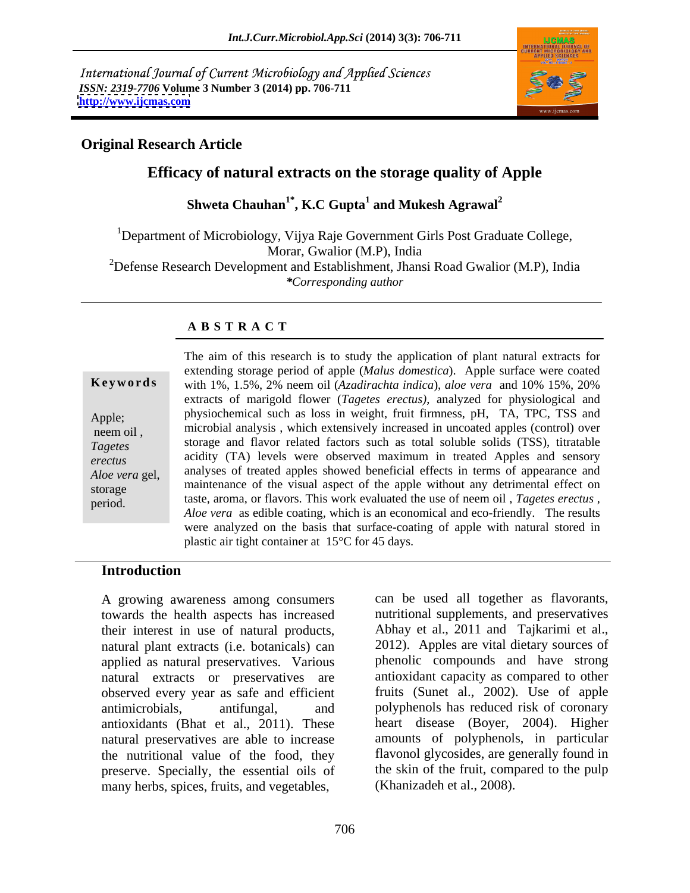International Journal of Current Microbiology and Applied Sciences *ISSN: 2319-7706* **Volume 3 Number 3 (2014) pp. 706-711 <http://www.ijcmas.com>**



## **Original Research Article**

# **Efficacy of natural extracts on the storage quality of Apple**

 $\mathbf{S}$ hweta Chauhan $^{1^*}\!,\mathbf{K}.\mathbf{C}$  Gupta $^{1}$  and Mukesh Agrawal $^{2}$  **and Mukesh Agrawal<sup>2</sup>**

<sup>1</sup>Department of Microbiology, Vijya Raje Government Girls Post Graduate College, Morar, Gwalior (M.P), India <sup>2</sup>Defense Research Development and Establishment, Jhansi Road Gwalior (M.P), India *\*Corresponding author*

### **A B S T R A C T**

**Ke ywo rds** with 1%, 1.5%, 2% neem oil (*Azadirachta indica*), *aloe vera* and 10% 15%, 20% Apple; physiochemical such as loss in weight, fruit firmness, pH, TA, TPC, TSS and neem oil, microbial analysis, which extensively increased in uncoated apples (control) over *Tagetes*  storage and flavor related factors such as total soluble solids (TSS), titratable erectus acidity (TA) levels were observed maximum in treated Apples and sensory Aloe vera gel, analyses of treated apples showed beneficial effects in terms of appearance and storage maintenance of the visual aspect of the apple without any detrimental effect on period. taste, aroma, or flavors. This work evaluated the use of neem oil , *Tagetes erectus* , The aim of this research is to study the application of plant natural extracts for extending storage period of apple (*Malus domestica*). Apple surface were coated extracts of marigold flower (*Tagetes erectus*), analyzed for physiological and *Aloe vera* as edible coating*,* which is an economical and eco-friendly. The results were analyzed on the basis that surface-coating of apple with natural stored in plastic air tight container at 15°C for 45 days.

### **Introduction**

A growing awareness among consumers towards the health aspects has increased their interest in use of natural products, Abhay et al., 2011 and Tajkarimi et al., natural plant extracts (i.e. botanicals) can 2012). Apples are vital dietary sources of applied as natural preservatives. Various natural extracts or preservatives are observed every year as safe and efficient antimicrobials, antifungal, and polyphenols has reduced risk of coronary antioxidants (Bhat et al., 2011). These natural preservatives are able to increase the nutritional value of the food, they flavonol glycosides,are generally found in preserve. Specially, the essential oils of many herbs, spices, fruits, and vegetables,

can be used all together as flavorants, nutritional supplements, and preservatives Abhay et al., 2011 and Tajkarimi et al., 2012). Apples are vital dietary sources of phenolic compounds and have strong antioxidant capacity as compared to other fruits (Sunet al., 2002). Use of apple heart disease (Boyer, 2004). Higher amounts of polyphenols, in particular the skin of the fruit, compared to the pulp (Khanizadeh et al., 2008).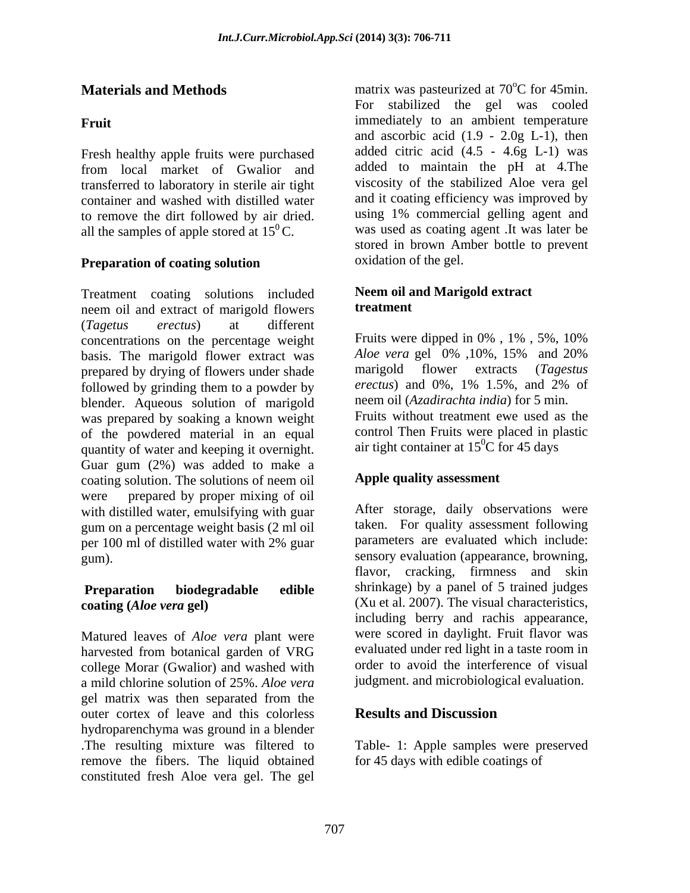Fresh healthy apple fruits were purchased transferred to laboratory in sterile air tight container and washed with distilled water to remove the dirt followed by air dried. all the samples of apple stored at  $15^{\circ}$ C.

## **Preparation of coating solution**

Treatment coating solutions included Neem oil and<br>neam oil and extract of maricold flowers treatment neem oil and extract of marigold flowers (*Tagetus erectus*) at different concentrations on the percentage weight<br>
has is. The marivold flower extract was<br> *Aloe vera* gel 0%, 10%, 15% and 20% basis. The marigold flower extract was *Aloe vera* gel 0%, 10%, 15% and 20% nenared by drying of flowers under shade marigold flower extracts (*Tagestus* prepared by drying of flowers under shade marigold flower extracts (*Tagestus* followed by orinding them to a nowder by *erectus*) and 0%, 1% 1.5%, and 2% of followed by grinding them to a powder by blender. Aqueous solution of marigold was prepared by soaking a known weight of the powdered material in an equal quantity of water and keeping it overnight. Guar gum (2%) was added to make a coating solution. The solutions of neem oil were prepared by proper mixing of oil with distilled water, emulsifying with guar gum on a percentage weight basis (2 ml oil per 100 ml of distilled water with 2% guar parameters are evaluated which include: gum). sensory evaluation (appearance, browning,

Matured leaves of *Aloe vera* plant were harvested from botanical garden of VRG college Morar (Gwalior) and washed with a mild chlorine solution of 25%. *Aloe vera* gel matrix was then separated from the outer cortex of leave and this colorless **Results and Discussion** hydroparenchyma was ground in a blender .The resulting mixture was filtered to Table- 1: Apple samples were preserved remove the fibers. The liquid obtained constituted fresh Aloe vera gel. The gel

**Materials and Methods** matrix was pasteurized at 70<sup>o</sup>C for 45min. **Fruit immediately** to an ambient temperature from local market of Gwalior and added to maintain the pH at 4. The  ${}^{0}$ C. was used as coating agent .It was later be <sup>o</sup>C for 45min. For stabilized the gel was cooled and ascorbic acid  $(1.9 - 2.0g L-1)$ , then added citric acid  $(4.5 - 4.6g L-1)$  was added to maintain the pH at 4.The viscosity of the stabilized Aloe vera gel and it coating efficiency was improved by using 1% commercial gelling agent and stored in brown Amber bottle to prevent oxidation of the gel.

### **Neem oil and Marigold extract treatment**

Fruits were dipped in 0% , 1% , 5%, 10% *Aloe vera* gel 0% ,10%, 15% and 20% marigold flower extracts (*Tagestus erectus*) and 0%, 1% 1.5%, and 2% of neem oil (*Azadirachta india*) for 5 min. Fruits without treatment ewe used as the control Then Fruits were placed in plastic air tight container at  $15^{\circ}$ C for 45 days

# **Apple quality assessment**

**Preparation biodegradable edible** shrinkage) by a panel of 5 trained judges **coating (***Aloe vera* **gel)** (Xu et al. 2007). The visual characteristics, After storage, daily observations were taken. For quality assessment following parameters are evaluated which include: flavor, cracking, firmness and skin including berry and rachis appearance, were scored in daylight. Fruit flavor was evaluated under red light in a taste room in order to avoid the interference of visual judgment. and microbiological evaluation.

# **Results and Discussion**

for 45 days with edible coatings of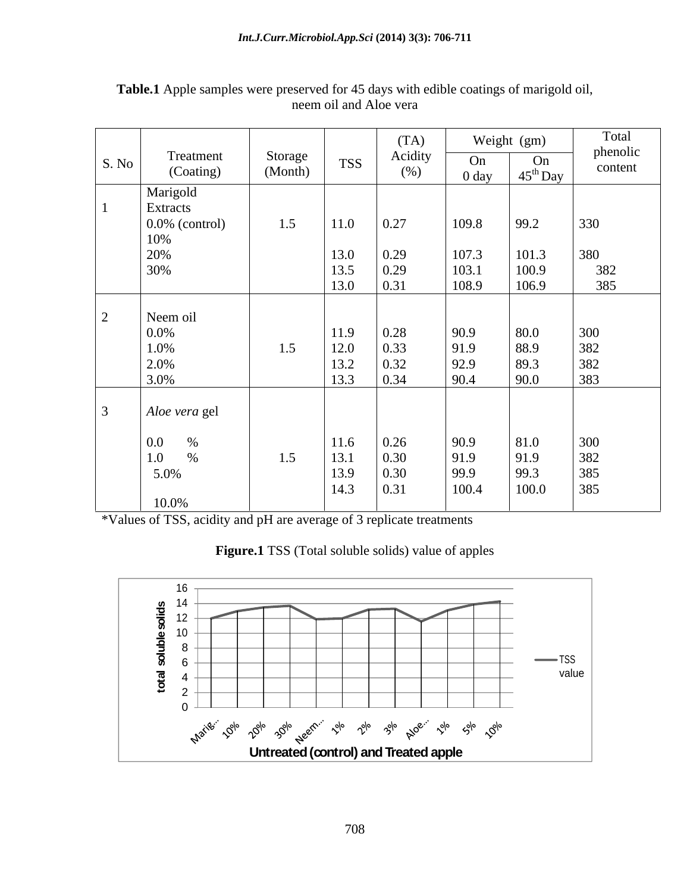|       |                                     |                    |              | (TA)                                                |                  | Weight (gm)                                                     | Total               |
|-------|-------------------------------------|--------------------|--------------|-----------------------------------------------------|------------------|-----------------------------------------------------------------|---------------------|
| S. No | Treatment<br>(Coating)              | Storage<br>(Month) | <b>TSS</b>   | Acidity<br>(%)                                      | On<br>$0 \,$ day | On<br>$45^{\text{th}}$ Day                                      | phenolic<br>content |
|       | Marigold                            |                    |              |                                                     |                  |                                                                 |                     |
|       | Extracts<br>$\vert 0.0\%$ (control) | 1.5                | $11.0\,$     | 0.27                                                | 109.8            | 99.2                                                            | 330                 |
|       | 10%                                 |                    |              |                                                     |                  |                                                                 |                     |
|       | 20%                                 |                    | 13.0         |                                                     | 107.3            |                                                                 | 380                 |
|       | 30%                                 |                    | 13.5         | $\begin{array}{c} 0.29 \\ 0.29 \\ 0.31 \end{array}$ | 103.1            | $101.3$<br>$100.9$                                              | 382                 |
|       |                                     |                    | 13.0         |                                                     | 108.9            | 106.9                                                           | 385                 |
|       |                                     |                    |              |                                                     |                  |                                                                 |                     |
|       | Neem oil                            |                    |              |                                                     |                  |                                                                 |                     |
|       | 0.0%<br>1.0%                        | 1.5                | 11.9<br>12.0 | 0.28                                                | 90.9<br>91.9     |                                                                 | 300                 |
|       | 2.0%                                |                    | 13.2         |                                                     | 92.9             |                                                                 |                     |
|       | 3.0%                                |                    | 13.3         | $\begin{array}{c} 0.33 \\ 0.32 \\ 0.34 \end{array}$ | 90.4             | $\begin{array}{ l} 80.0 \\ 88.9 \\ 89.3 \\ 90.0 \\ \end{array}$ | 382<br>382<br>383   |
|       |                                     |                    |              |                                                     |                  |                                                                 |                     |
|       | Aloe vera gel                       |                    |              |                                                     |                  |                                                                 |                     |
|       |                                     |                    |              |                                                     |                  |                                                                 |                     |
|       | $0.0\,$<br>$\%$                     |                    | 11.6         | $0.26$<br>$0.30$<br>$0.30$<br>$0.31$                | 90.9             | $\begin{array}{c} 81.0 \\ 91.9 \end{array}$                     | 300                 |
|       | 1.0<br>$\%$<br>5.0%                 | 1.5                | 13.1         |                                                     | 91.9<br>99.9     |                                                                 | 382<br>385          |
|       |                                     |                    | 13.9<br>14.3 |                                                     | 100.4            | $99.3$<br>100.0                                                 | 385                 |
|       | 10.0%                               |                    |              |                                                     |                  |                                                                 |                     |

**Table.1** Apple samples were preserved for 45 days with edible coatings of marigold oil, neem oil and Aloe vera

\*Values of TSS, acidity and pH are average of 3 replicate treatments

| <b>Figure.1</b> TSS (Total soluble solids) value of apples |  |
|------------------------------------------------------------|--|
|                                                            |  |

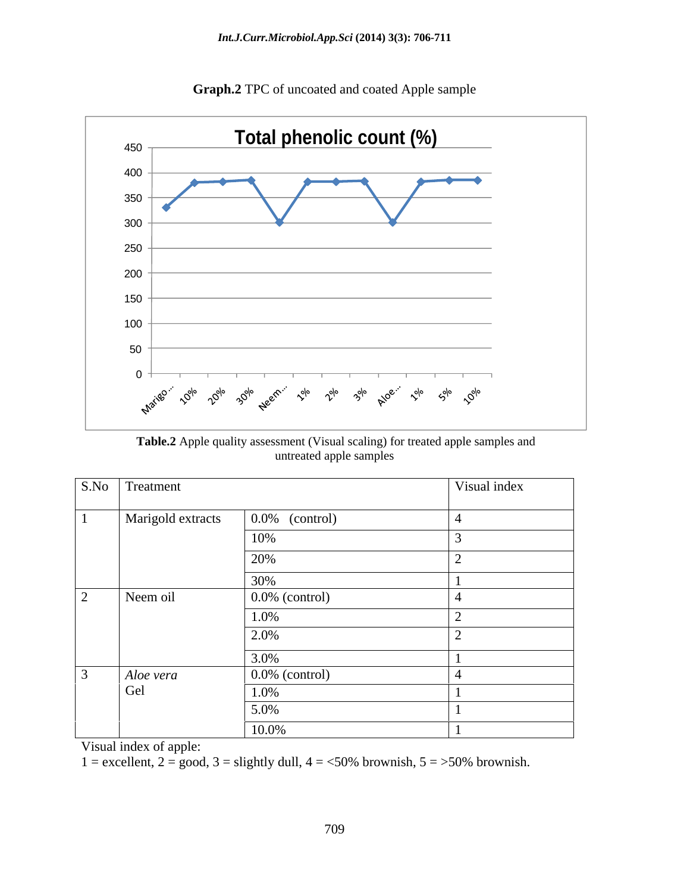

**Graph.2** TPC of uncoated and coated Apple sample

**Table.2** Apple quality assessment (Visual scaling) for treated apple samples and untreated apple samples

| S.No Treatment    |                               | Visual index |
|-------------------|-------------------------------|--------------|
| Marigold extracts | $\vert 0.0\% \vert$ (control) |              |
|                   | 10%                           |              |
|                   | 20%                           |              |
|                   | $\Omega$                      |              |
| Neem oil          | $\vert 0.0\%$ (control)       |              |
|                   | 1.0%                          |              |
|                   | 2.0%                          |              |
|                   | 3.0%                          |              |
| Aloe vera<br>Gel  | $0.0\%$ (control)             |              |
|                   | 1.0%                          |              |
|                   | 5.0%                          |              |
|                   | 10.0%                         |              |

Visual index of apple:

1 = excellent, 2 = good, 3 = slightly dull, 4 = <50% brownish, 5 = > 50% brownish.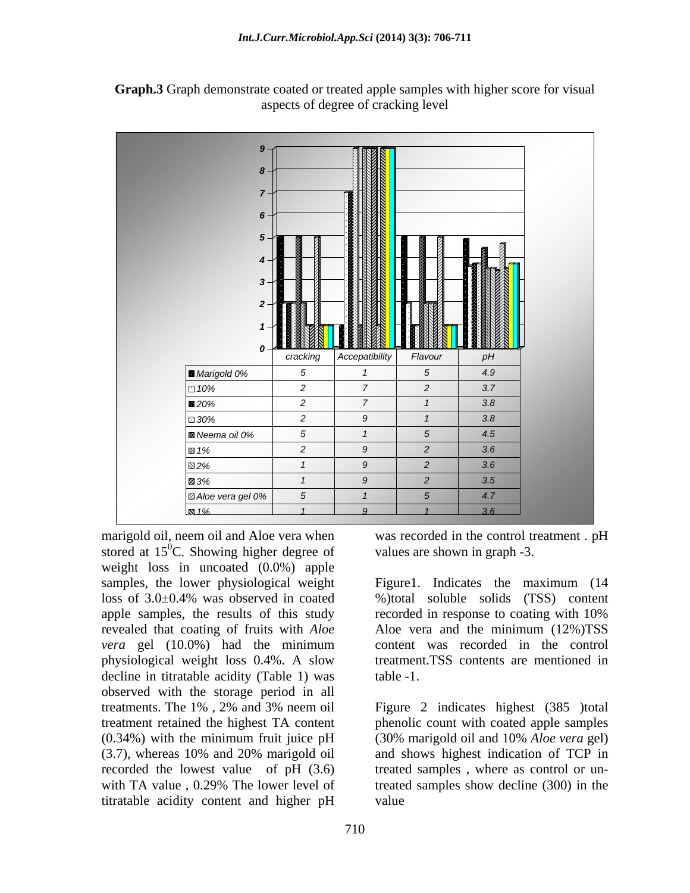

**Graph.3** Graph demonstrate coated or treated apple samples with higher score for visual aspects of degree of cracking level

marigold oil, neem oil and Aloe vera when was recorded in the control treatment . pH stored at  $15^{\circ}$ C. Showing higher degree of values are shown in graph -3. weight loss in uncoated (0.0%) apple samples, the lower physiological weight Figure1. Indicates the maximum (14 loss of 3.0±0.4% was observed in coated %)total soluble solids (TSS) content apple samples, the results of this study recorded in response to coating with 10% revealed that coating of fruits with *Aloe* Aloe vera and the minimum (12%)TSS *vera* gel (10.0%) had the minimum physiological weight loss 0.4%. A slow decline in titratable acidity (Table 1) was table -1. observed with the storage period in all titratable acidity content and higher pH

values are shown in graph -3.

recorded in response to coating with 10% Aloe vera and the minimum (12%)TSS content was recorded in the control treatment.TSS contents are mentioned in table -1.

treatments. The 1% , 2% and 3% neem oil treatment retained the highest TA content phenolic count with coated apple samples (0.34%) with the minimum fruit juice pH (30% marigold oil and 10% *Aloe vera* gel) (3.7), whereas 10% and 20% marigold oil recorded the lowest value of pH (3.6) treated samples , where as control or unwith TA value, 0.29% The lower level of treated samples show decline (300) in the Figure 2 indicates highest (385 )total and shows highest indication of TCP in value